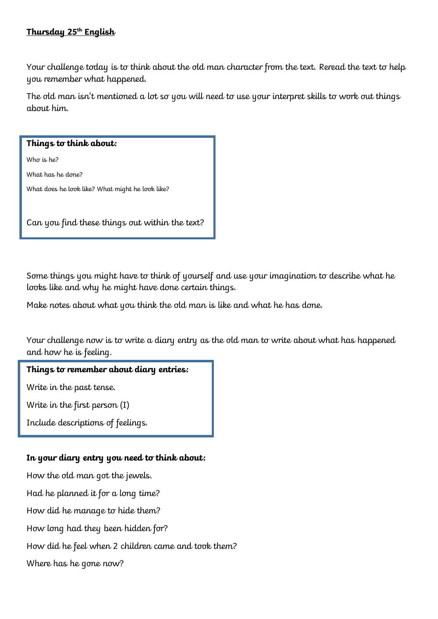# **Thursday 25th English**

Your challenge today is to think about the old man character from the text. Reread the text to help you remember what happened.

The old man isn't mentioned a lot so you will need to use your interpret skills to work out things about him.

#### **Things to think about:**

Who is he?

What has he done?

What does he look like? What might he look like?

Can you find these things out within the text?

Some things you might have to think of yourself and use your imagination to describe what he looks like and why he might have done certain things.

Make notes about what you think the old man is like and what he has done.

Your challenge now is to write a diary entry as the old man to write about what has happened and how he is feeling.

#### **Things to remember about diary entries:**

Write in the past tense.

Write in the first person (I)

Include descriptions of feelings.

# **In your diary entry you need to think about:**

How the old man got the jewels. Had he planned it for a long time? How did he manage to hide them? How long had they been hidden for? How did he feel when 2 children came and took them? Where has he gone now?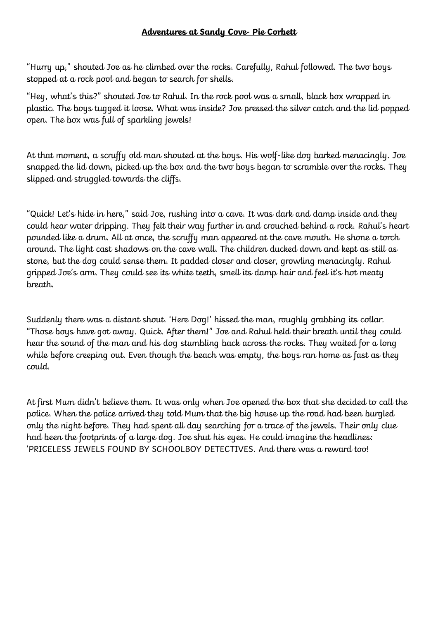# **Adventures at Sandy Cove- Pie Corbett**

"Hurry up," shouted Joe as he climbed over the rocks. Carefully, Rahul followed. The two boys stopped at a rock pool and began to search for shells.

"Hey, what's this?" shouted Joe to Rahul. In the rock pool was a small, black box wrapped in plastic. The boys tugged it loose. What was inside? Joe pressed the silver catch and the lid popped open. The box was full of sparkling jewels!

At that moment, a scruffy old man shouted at the boys. His wolf-like dog barked menacingly. Joe snapped the lid down, picked up the box and the two boys began to scramble over the rocks. They slipped and struggled towards the cliffs.

"Quick! Let's hide in here," said Joe, rushing into a cave. It was dark and damp inside and they could hear water dripping. They felt their way further in and crouched behind a rock. Rahul's heart pounded like a drum. All at once, the scruffy man appeared at the cave mouth. He shone a torch around. The light cast shadows on the cave wall. The children ducked down and kept as still as stone, but the dog could sense them. It padded closer and closer, growling menacingly. Rahul gripped Joe's arm. They could see its white teeth, smell its damp hair and feel it's hot meaty breath.

Suddenly there was a distant shout. 'Here Dog!' hissed the man, roughly grabbing its collar. "Those boys have got away. Quick. After them!" Joe and Rahul held their breath until they could hear the sound of the man and his dog stumbling back across the rocks. They waited for a long while before creeping out. Even though the beach was empty, the boys ran home as fast as they could.

At first Mum didn't believe them. It was only when Joe opened the box that she decided to call the police. When the police arrived they told Mum that the big house up the road had been burgled only the night before. They had spent all day searching for a trace of the jewels. Their only clue had been the footprints of a large dog. Joe shut his eyes. He could imagine the headlines: 'PRICELESS JEWELS FOUND BY SCHOOLBOY DETECTIVES. And there was a reward too!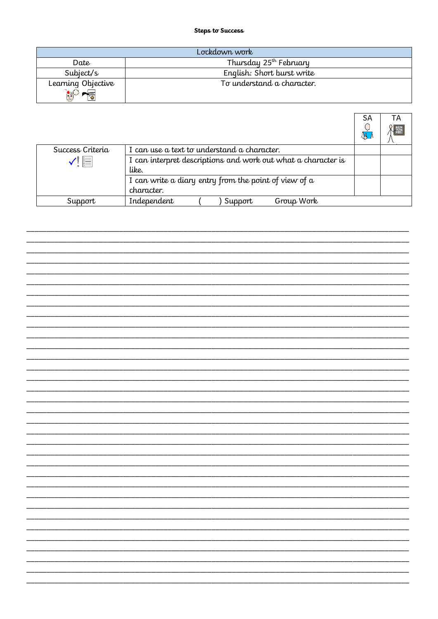#### Steps to Success

|                           | Lockdown work                      |
|---------------------------|------------------------------------|
| Date                      | Thursday 25 <sup>th</sup> February |
| Subject/s                 | English: Short burst write         |
| Learning Objective        | To understand a character.         |
| $\mathbb{C}^{\mathbb{C}}$ |                                    |

|                  |                                                               | <b>SA</b><br>Œ. | ТA |
|------------------|---------------------------------------------------------------|-----------------|----|
| Success Criteria | I can use a text to understand a character.                   |                 |    |
| Ţ⊫               | I can interpret descriptions and work out what a character is |                 |    |
|                  | like.                                                         |                 |    |
|                  | I can write a diary entry from the point of view of $\alpha$  |                 |    |
|                  | character.                                                    |                 |    |
| Support          | Independent<br>Group Work<br>Support                          |                 |    |